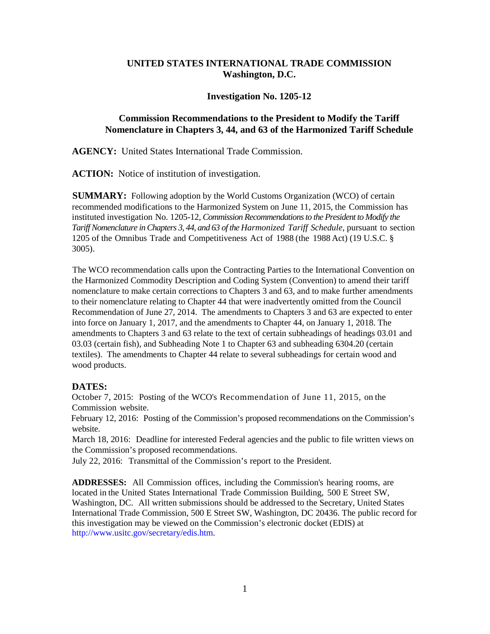## **UNITED STATES INTERNATIONAL TRADE COMMISSION Washington, D.C.**

## **Investigation No. 1205-12**

## **Commission Recommendations to the President to Modify the Tariff Nomenclature in Chapters 3, 44, and 63 of the Harmonized Tariff Schedule**

**AGENCY:** United States International Trade Commission.

**ACTION:** Notice of institution of investigation.

**SUMMARY:** Following adoption by the World Customs Organization (WCO) of certain recommended modifications to the Harmonized System on June 11, 2015, the Commission has instituted investigation No. 1205-12, *Commission Recommendations to the President to Modify the Tariff Nomenclature in Chapters 3, 44, and 63 of the Harmonized Tariff Schedule*, pursuant to section 1205 of the Omnibus Trade and Competitiveness Act of 1988 (the 1988 Act) (19 U.S.C. § 3005).

The WCO recommendation calls upon the Contracting Parties to the International Convention on the Harmonized Commodity Description and Coding System (Convention) to amend their tariff nomenclature to make certain corrections to Chapters 3 and 63, and to make further amendments to their nomenclature relating to Chapter 44 that were inadvertently omitted from the Council Recommendation of June 27, 2014. The amendments to Chapters 3 and 63 are expected to enter into force on January 1, 2017, and the amendments to Chapter 44, on January 1, 2018. The amendments to Chapters 3 and 63 relate to the text of certain subheadings of headings 03.01 and 03.03 (certain fish), and Subheading Note 1 to Chapter 63 and subheading 6304.20 (certain textiles). The amendments to Chapter 44 relate to several subheadings for certain wood and wood products.

## **DATES:**

October 7, 2015: Posting of the WCO's Recommendation of June 11, 2015, on the Commission website.

February 12, 2016: Posting of the Commission's proposed recommendations on the Commission's website.

March 18, 2016: Deadline for interested Federal agencies and the public to file written views on the Commission's proposed recommendations.

July 22, 2016: Transmittal of the Commission's report to the President.

**ADDRESSES:** All Commission offices, including the Commission's hearing rooms, are located in the United States International Trade Commission Building, 500 E Street SW, Washington, DC. All written submissions should be addressed to the Secretary, United States International Trade Commission, 500 E Street SW, Washington, DC 20436. The public record for this investigation may be viewed on the Commission's electronic docket (EDIS) at http://www.usitc.gov/secretary/edis.htm.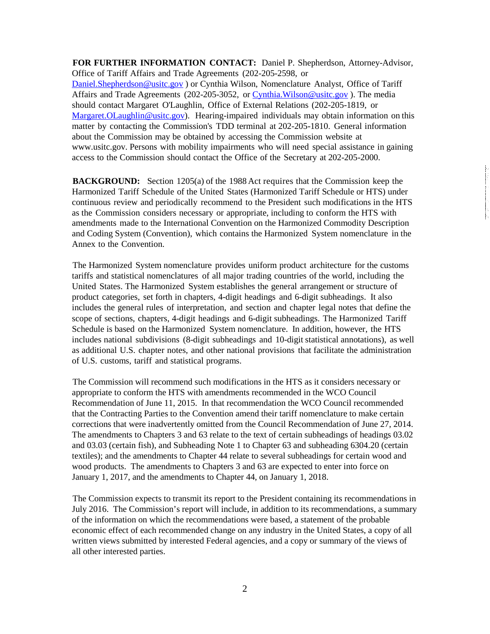**FOR FURTHER INFORMATION CONTACT:** Daniel P. Shepherdson, Attorney-Advisor, Office of Tariff Affairs and Trade Agreements (202-205-2598, or [Daniel.Shepherdson@usitc.gov](mailto:Daniel.Shepherdson@usitc.gov) ) or Cynthia Wilson, Nomenclature Analyst, Office of Tariff Affairs and Trade Agreements (202-205-3052, or [Cynthia.Wilson@usitc.gov](mailto:Cynthia.Wilson@usitc.gov)). The media should contact Margaret O'Laughlin, Office of External Relations (202-205-1819, or [Margaret.OLaughlin@usitc.gov\)](mailto:Margaret.OLaughlin@usitc.gov). Hearing-impaired individuals may obtain information on this matter by contacting the Commission's TDD terminal at 202-205-1810. General information about the Commission may be obtained by accessing the Commission website at [www.usitc.gov.](http://www.usitc.gov/) Persons with mobility impairments who will need special assistance in gaining access to the Commission should contact the Office of the Secretary at 202-205-2000.

**BACKGROUND:** Section 1205(a) of the 1988 Act requires that the Commission keep the Harmonized Tariff Schedule of the United States (Harmonized Tariff Schedule or HTS) under continuous review and periodically recommend to the President such modifications in the HTS as the Commission considers necessary or appropriate, including to conform the HTS with amendments made to the International Convention on the Harmonized Commodity Description and Coding System (Convention), which contains the Harmonized System nomenclature in the Annex to the Convention.

The Harmonized System nomenclature provides uniform product architecture for the customs tariffs and statistical nomenclatures of all major trading countries of the world, including the United States. The Harmonized System establishes the general arrangement or structure of product categories, set forth in chapters, 4-digit headings and 6-digit subheadings. It also includes the general rules of interpretation, and section and chapter legal notes that define the scope of sections, chapters, 4-digit headings and 6-digit subheadings. The Harmonized Tariff Schedule is based on the Harmonized System nomenclature. In addition, however, the HTS includes national subdivisions (8-digit subheadings and 10-digit statistical annotations), as well as additional U.S. chapter notes, and other national provisions that facilitate the administration of U.S. customs, tariff and statistical programs.

The Commission will recommend such modifications in the HTS as it considers necessary or appropriate to conform the HTS with amendments recommended in the WCO Council Recommendation of June 11, 2015. In that recommendation the WCO Council recommended that the Contracting Parties to the Convention amend their tariff nomenclature to make certain corrections that were inadvertently omitted from the Council Recommendation of June 27, 2014. The amendments to Chapters 3 and 63 relate to the text of certain subheadings of headings 03.02 and 03.03 (certain fish), and Subheading Note 1 to Chapter 63 and subheading 6304.20 (certain textiles); and the amendments to Chapter 44 relate to several subheadings for certain wood and wood products. The amendments to Chapters 3 and 63 are expected to enter into force on January 1, 2017, and the amendments to Chapter 44, on January 1, 2018.

The Commission expects to transmit its report to the President containing its recommendations in July 2016. The Commission's report will include, in addition to its recommendations, a summary of the information on which the recommendations were based, a statement of the probable economic effect of each recommended change on any industry in the United States, a copy of all written views submitted by interested Federal agencies, and a copy or summary of the views of all other interested parties.